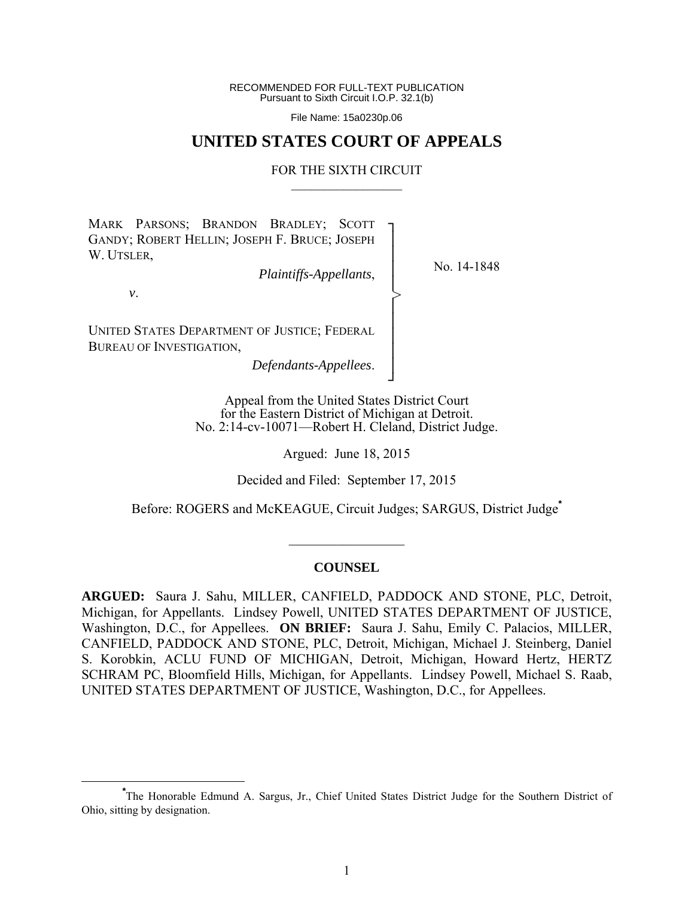RECOMMENDED FOR FULL-TEXT PUBLICATION Pursuant to Sixth Circuit I.O.P. 32.1(b)

File Name: 15a0230p.06

# **UNITED STATES COURT OF APPEALS**

#### FOR THE SIXTH CIRCUIT  $\mathcal{L}_\text{max}$

┐ │ │ │ │ │ │ │ │ │ ┘

>

MARK PARSONS; BRANDON BRADLEY; SCOTT GANDY; ROBERT HELLIN; JOSEPH F. BRUCE; JOSEPH W. UTSLER,

*Plaintiffs-Appellants*,

No. 14-1848

*v*.

UNITED STATES DEPARTMENT OF JUSTICE; FEDERAL BUREAU OF INVESTIGATION,

*Defendants-Appellees*.

Appeal from the United States District Court for the Eastern District of Michigan at Detroit. No. 2:14-cv-10071—Robert H. Cleland, District Judge.

Argued: June 18, 2015

Decided and Filed: September 17, 2015

Before: ROGERS and McKEAGUE, Circuit Judges; SARGUS, District Judge**\***

### **COUNSEL**

 $\frac{1}{2}$ 

**ARGUED:** Saura J. Sahu, MILLER, CANFIELD, PADDOCK AND STONE, PLC, Detroit, Michigan, for Appellants. Lindsey Powell, UNITED STATES DEPARTMENT OF JUSTICE, Washington, D.C., for Appellees. **ON BRIEF:** Saura J. Sahu, Emily C. Palacios, MILLER, CANFIELD, PADDOCK AND STONE, PLC, Detroit, Michigan, Michael J. Steinberg, Daniel S. Korobkin, ACLU FUND OF MICHIGAN, Detroit, Michigan, Howard Hertz, HERTZ SCHRAM PC, Bloomfield Hills, Michigan, for Appellants. Lindsey Powell, Michael S. Raab, UNITED STATES DEPARTMENT OF JUSTICE, Washington, D.C., for Appellees.

**\*** The Honorable Edmund A. Sargus, Jr., Chief United States District Judge for the Southern District of Ohio, sitting by designation.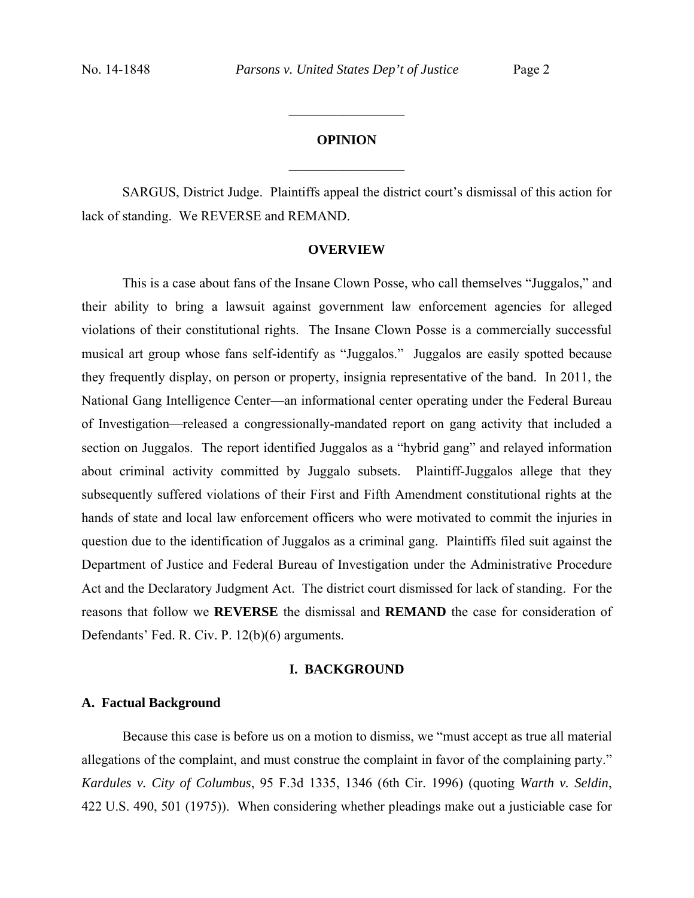# **OPINION**

 $\frac{1}{2}$ 

 $\frac{1}{2}$ 

SARGUS, District Judge. Plaintiffs appeal the district court's dismissal of this action for lack of standing. We REVERSE and REMAND.

### **OVERVIEW**

 This is a case about fans of the Insane Clown Posse, who call themselves "Juggalos," and their ability to bring a lawsuit against government law enforcement agencies for alleged violations of their constitutional rights. The Insane Clown Posse is a commercially successful musical art group whose fans self-identify as "Juggalos." Juggalos are easily spotted because they frequently display, on person or property, insignia representative of the band. In 2011, the National Gang Intelligence Center—an informational center operating under the Federal Bureau of Investigation—released a congressionally-mandated report on gang activity that included a section on Juggalos. The report identified Juggalos as a "hybrid gang" and relayed information about criminal activity committed by Juggalo subsets. Plaintiff-Juggalos allege that they subsequently suffered violations of their First and Fifth Amendment constitutional rights at the hands of state and local law enforcement officers who were motivated to commit the injuries in question due to the identification of Juggalos as a criminal gang. Plaintiffs filed suit against the Department of Justice and Federal Bureau of Investigation under the Administrative Procedure Act and the Declaratory Judgment Act. The district court dismissed for lack of standing. For the reasons that follow we **REVERSE** the dismissal and **REMAND** the case for consideration of Defendants' Fed. R. Civ. P. 12(b)(6) arguments.

#### **I. BACKGROUND**

### **A. Factual Background**

Because this case is before us on a motion to dismiss, we "must accept as true all material allegations of the complaint, and must construe the complaint in favor of the complaining party." *Kardules v. City of Columbus*, 95 F.3d 1335, 1346 (6th Cir. 1996) (quoting *Warth v. Seldin*, 422 U.S. 490, 501 (1975)). When considering whether pleadings make out a justiciable case for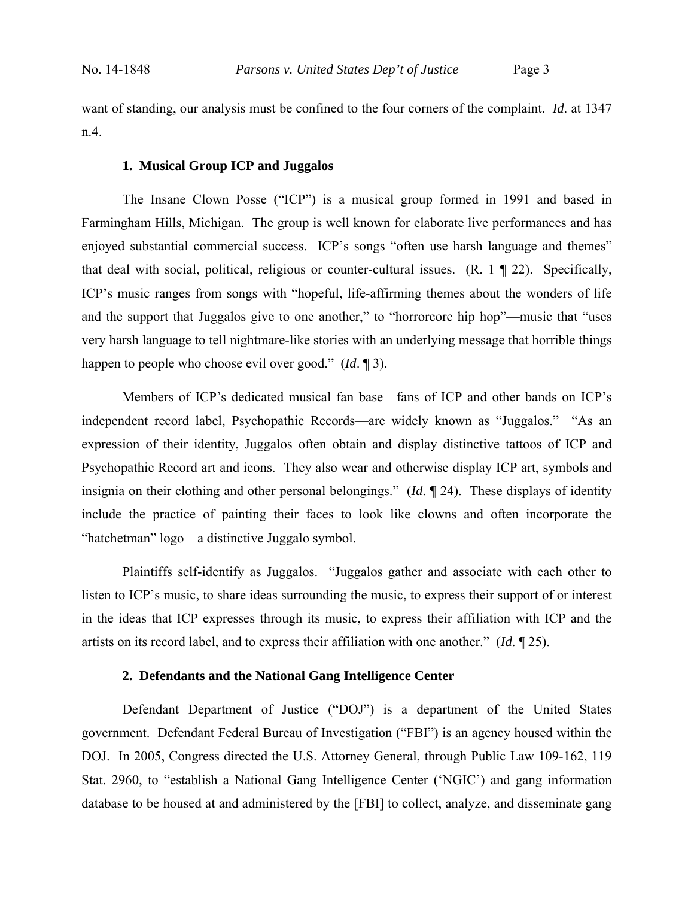want of standing, our analysis must be confined to the four corners of the complaint. *Id*. at 1347 n.4.

#### **1. Musical Group ICP and Juggalos**

The Insane Clown Posse ("ICP") is a musical group formed in 1991 and based in Farmingham Hills, Michigan. The group is well known for elaborate live performances and has enjoyed substantial commercial success. ICP's songs "often use harsh language and themes" that deal with social, political, religious or counter-cultural issues. (R. 1 ¶ 22). Specifically, ICP's music ranges from songs with "hopeful, life-affirming themes about the wonders of life and the support that Juggalos give to one another," to "horrorcore hip hop"—music that "uses very harsh language to tell nightmare-like stories with an underlying message that horrible things happen to people who choose evil over good." (*Id*. ¶ 3).

Members of ICP's dedicated musical fan base—fans of ICP and other bands on ICP's independent record label, Psychopathic Records—are widely known as "Juggalos." "As an expression of their identity, Juggalos often obtain and display distinctive tattoos of ICP and Psychopathic Record art and icons. They also wear and otherwise display ICP art, symbols and insignia on their clothing and other personal belongings." (*Id*. ¶ 24). These displays of identity include the practice of painting their faces to look like clowns and often incorporate the "hatchetman" logo—a distinctive Juggalo symbol.

Plaintiffs self-identify as Juggalos. "Juggalos gather and associate with each other to listen to ICP's music, to share ideas surrounding the music, to express their support of or interest in the ideas that ICP expresses through its music, to express their affiliation with ICP and the artists on its record label, and to express their affiliation with one another." (*Id*. ¶ 25).

# **2. Defendants and the National Gang Intelligence Center**

 Defendant Department of Justice ("DOJ") is a department of the United States government. Defendant Federal Bureau of Investigation ("FBI") is an agency housed within the DOJ. In 2005, Congress directed the U.S. Attorney General, through Public Law 109-162, 119 Stat. 2960, to "establish a National Gang Intelligence Center ('NGIC') and gang information database to be housed at and administered by the [FBI] to collect, analyze, and disseminate gang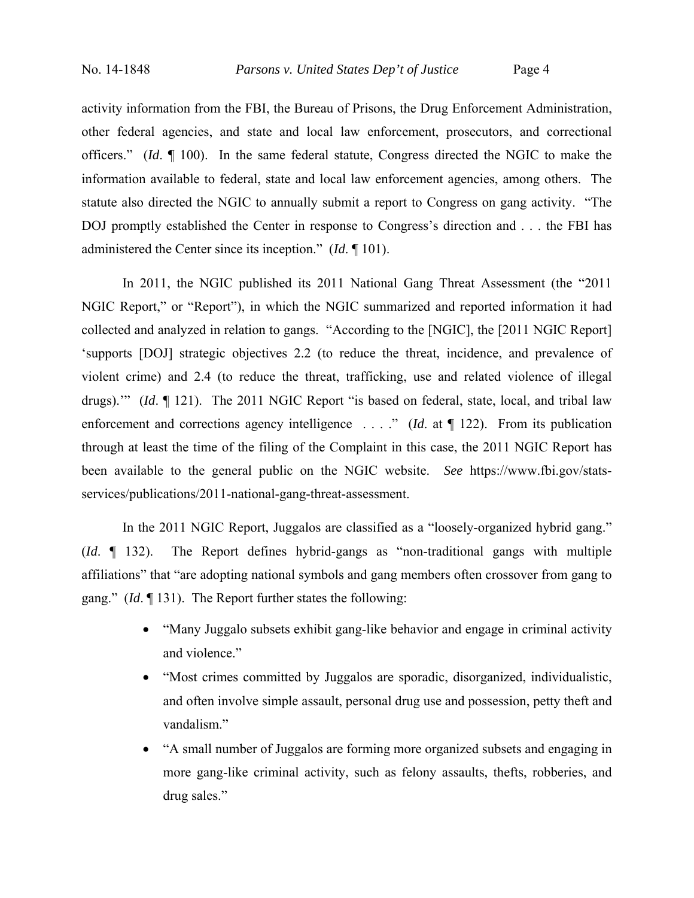activity information from the FBI, the Bureau of Prisons, the Drug Enforcement Administration, other federal agencies, and state and local law enforcement, prosecutors, and correctional officers." (*Id*. ¶ 100). In the same federal statute, Congress directed the NGIC to make the information available to federal, state and local law enforcement agencies, among others. The statute also directed the NGIC to annually submit a report to Congress on gang activity. "The DOJ promptly established the Center in response to Congress's direction and . . . the FBI has administered the Center since its inception." (*Id*. ¶ 101).

 In 2011, the NGIC published its 2011 National Gang Threat Assessment (the "2011 NGIC Report," or "Report"), in which the NGIC summarized and reported information it had collected and analyzed in relation to gangs. "According to the [NGIC], the [2011 NGIC Report] 'supports [DOJ] strategic objectives 2.2 (to reduce the threat, incidence, and prevalence of violent crime) and 2.4 (to reduce the threat, trafficking, use and related violence of illegal drugs).'" (*Id*. ¶ 121). The 2011 NGIC Report "is based on federal, state, local, and tribal law enforcement and corrections agency intelligence . . . ." (*Id.* at ¶ 122). From its publication through at least the time of the filing of the Complaint in this case, the 2011 NGIC Report has been available to the general public on the NGIC website. *See* https://www.fbi.gov/statsservices/publications/2011-national-gang-threat-assessment.

 In the 2011 NGIC Report, Juggalos are classified as a "loosely-organized hybrid gang." (*Id*. ¶ 132). The Report defines hybrid-gangs as "non-traditional gangs with multiple affiliations" that "are adopting national symbols and gang members often crossover from gang to gang." (*Id*. ¶ 131). The Report further states the following:

- "Many Juggalo subsets exhibit gang-like behavior and engage in criminal activity and violence."
- "Most crimes committed by Juggalos are sporadic, disorganized, individualistic, and often involve simple assault, personal drug use and possession, petty theft and vandalism."
- "A small number of Juggalos are forming more organized subsets and engaging in more gang-like criminal activity, such as felony assaults, thefts, robberies, and drug sales."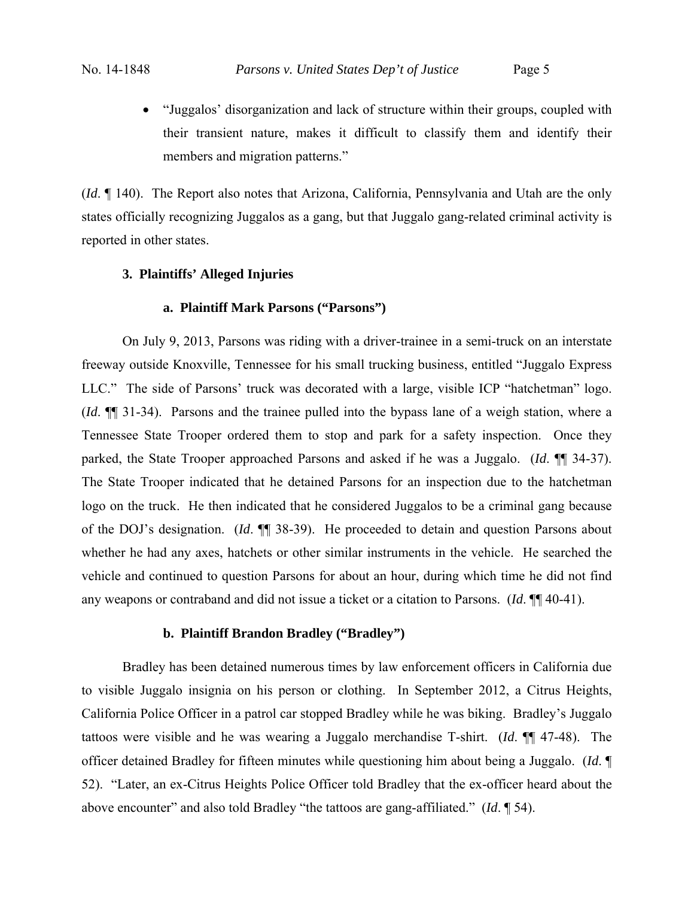"Juggalos' disorganization and lack of structure within their groups, coupled with their transient nature, makes it difficult to classify them and identify their members and migration patterns."

(*Id*. ¶ 140). The Report also notes that Arizona, California, Pennsylvania and Utah are the only states officially recognizing Juggalos as a gang, but that Juggalo gang-related criminal activity is reported in other states.

# **3. Plaintiffs' Alleged Injuries**

# **a. Plaintiff Mark Parsons ("Parsons")**

 On July 9, 2013, Parsons was riding with a driver-trainee in a semi-truck on an interstate freeway outside Knoxville, Tennessee for his small trucking business, entitled "Juggalo Express LLC." The side of Parsons' truck was decorated with a large, visible ICP "hatchetman" logo. (*Id*. ¶¶ 31-34). Parsons and the trainee pulled into the bypass lane of a weigh station, where a Tennessee State Trooper ordered them to stop and park for a safety inspection. Once they parked, the State Trooper approached Parsons and asked if he was a Juggalo. (*Id*. ¶¶ 34-37). The State Trooper indicated that he detained Parsons for an inspection due to the hatchetman logo on the truck. He then indicated that he considered Juggalos to be a criminal gang because of the DOJ's designation. (*Id*. ¶¶ 38-39).He proceeded to detain and question Parsons about whether he had any axes, hatchets or other similar instruments in the vehicle. He searched the vehicle and continued to question Parsons for about an hour, during which time he did not find any weapons or contraband and did not issue a ticket or a citation to Parsons. (*Id*. ¶¶ 40-41).

## **b. Plaintiff Brandon Bradley ("Bradley")**

Bradley has been detained numerous times by law enforcement officers in California due to visible Juggalo insignia on his person or clothing. In September 2012, a Citrus Heights, California Police Officer in a patrol car stopped Bradley while he was biking. Bradley's Juggalo tattoos were visible and he was wearing a Juggalo merchandise T-shirt. (*Id*. ¶¶ 47-48). The officer detained Bradley for fifteen minutes while questioning him about being a Juggalo. (*Id*. ¶ 52). "Later, an ex-Citrus Heights Police Officer told Bradley that the ex-officer heard about the above encounter" and also told Bradley "the tattoos are gang-affiliated." (*Id*. ¶ 54).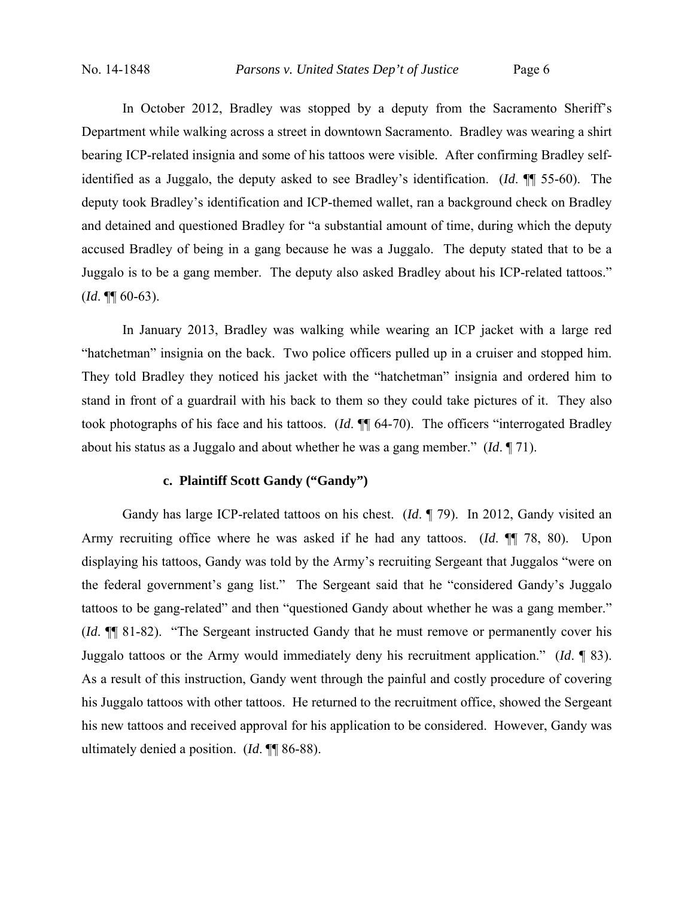In October 2012, Bradley was stopped by a deputy from the Sacramento Sheriff's Department while walking across a street in downtown Sacramento. Bradley was wearing a shirt bearing ICP-related insignia and some of his tattoos were visible. After confirming Bradley selfidentified as a Juggalo, the deputy asked to see Bradley's identification. (*Id*. ¶¶ 55-60). The deputy took Bradley's identification and ICP-themed wallet, ran a background check on Bradley and detained and questioned Bradley for "a substantial amount of time, during which the deputy accused Bradley of being in a gang because he was a Juggalo. The deputy stated that to be a Juggalo is to be a gang member. The deputy also asked Bradley about his ICP-related tattoos."  $(Id. \P\P\ 60-63).$ 

In January 2013, Bradley was walking while wearing an ICP jacket with a large red "hatchetman" insignia on the back. Two police officers pulled up in a cruiser and stopped him. They told Bradley they noticed his jacket with the "hatchetman" insignia and ordered him to stand in front of a guardrail with his back to them so they could take pictures of it. They also took photographs of his face and his tattoos. (*Id*. ¶¶ 64-70). The officers "interrogated Bradley about his status as a Juggalo and about whether he was a gang member." (*Id*. ¶ 71).

## **c. Plaintiff Scott Gandy ("Gandy")**

 Gandy has large ICP-related tattoos on his chest. (*Id*. ¶ 79). In 2012, Gandy visited an Army recruiting office where he was asked if he had any tattoos. (*Id*. ¶¶ 78, 80). Upon displaying his tattoos, Gandy was told by the Army's recruiting Sergeant that Juggalos "were on the federal government's gang list." The Sergeant said that he "considered Gandy's Juggalo tattoos to be gang-related" and then "questioned Gandy about whether he was a gang member." (*Id*. ¶¶ 81-82). "The Sergeant instructed Gandy that he must remove or permanently cover his Juggalo tattoos or the Army would immediately deny his recruitment application." (*Id*. ¶ 83). As a result of this instruction, Gandy went through the painful and costly procedure of covering his Juggalo tattoos with other tattoos. He returned to the recruitment office, showed the Sergeant his new tattoos and received approval for his application to be considered. However, Gandy was ultimately denied a position. (*Id*. ¶¶ 86-88).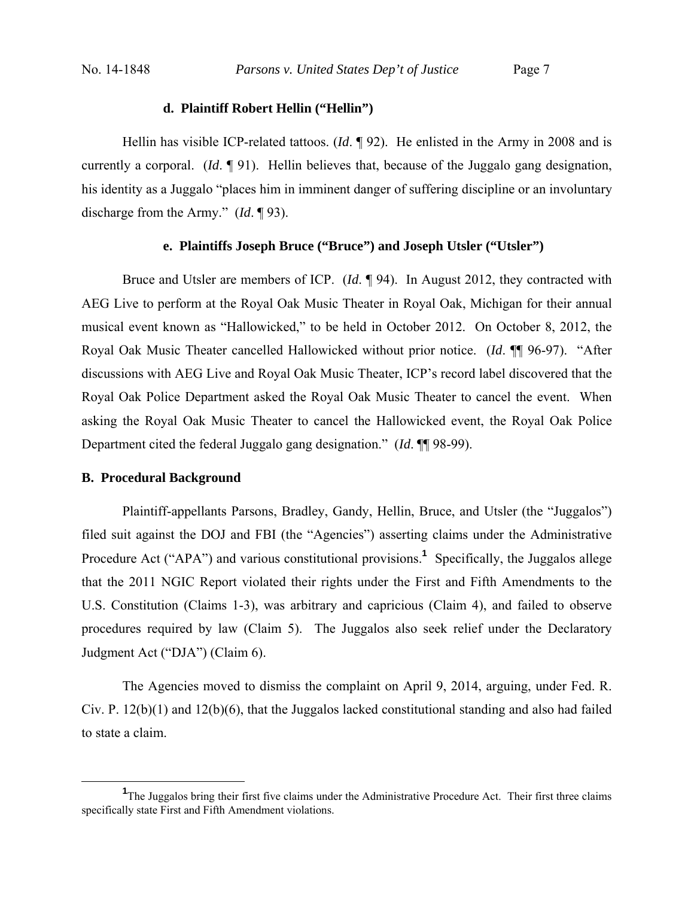### **d. Plaintiff Robert Hellin ("Hellin")**

 Hellin has visible ICP-related tattoos. (*Id*. ¶ 92). He enlisted in the Army in 2008 and is currently a corporal. (*Id*. ¶ 91). Hellin believes that, because of the Juggalo gang designation, his identity as a Juggalo "places him in imminent danger of suffering discipline or an involuntary discharge from the Army." (*Id*. ¶ 93).

## **e. Plaintiffs Joseph Bruce ("Bruce") and Joseph Utsler ("Utsler")**

 Bruce and Utsler are members of ICP. (*Id*. ¶ 94). In August 2012, they contracted with AEG Live to perform at the Royal Oak Music Theater in Royal Oak, Michigan for their annual musical event known as "Hallowicked," to be held in October 2012. On October 8, 2012, the Royal Oak Music Theater cancelled Hallowicked without prior notice. (*Id*. ¶¶ 96-97). "After discussions with AEG Live and Royal Oak Music Theater, ICP's record label discovered that the Royal Oak Police Department asked the Royal Oak Music Theater to cancel the event. When asking the Royal Oak Music Theater to cancel the Hallowicked event, the Royal Oak Police Department cited the federal Juggalo gang designation." (*Id*. ¶¶ 98-99).

#### **B. Procedural Background**

Plaintiff-appellants Parsons, Bradley, Gandy, Hellin, Bruce, and Utsler (the "Juggalos") filed suit against the DOJ and FBI (the "Agencies") asserting claims under the Administrative Procedure Act ("APA") and various constitutional provisions.<sup>1</sup> Specifically, the Juggalos allege that the 2011 NGIC Report violated their rights under the First and Fifth Amendments to the U.S. Constitution (Claims 1-3), was arbitrary and capricious (Claim 4), and failed to observe procedures required by law (Claim 5). The Juggalos also seek relief under the Declaratory Judgment Act ("DJA") (Claim 6).

 The Agencies moved to dismiss the complaint on April 9, 2014, arguing, under Fed. R. Civ. P. 12(b)(1) and 12(b)(6), that the Juggalos lacked constitutional standing and also had failed to state a claim.

<sup>&</sup>lt;u>1</u> <sup>1</sup>The Juggalos bring their first five claims under the Administrative Procedure Act. Their first three claims specifically state First and Fifth Amendment violations.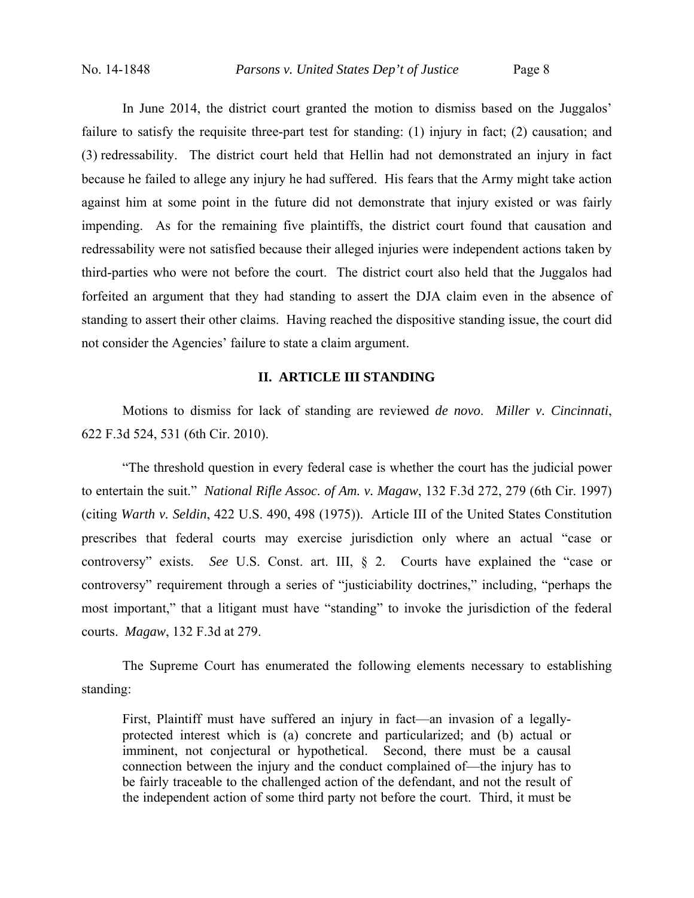In June 2014, the district court granted the motion to dismiss based on the Juggalos' failure to satisfy the requisite three-part test for standing: (1) injury in fact; (2) causation; and (3) redressability. The district court held that Hellin had not demonstrated an injury in fact because he failed to allege any injury he had suffered. His fears that the Army might take action against him at some point in the future did not demonstrate that injury existed or was fairly impending. As for the remaining five plaintiffs, the district court found that causation and redressability were not satisfied because their alleged injuries were independent actions taken by third-parties who were not before the court. The district court also held that the Juggalos had forfeited an argument that they had standing to assert the DJA claim even in the absence of standing to assert their other claims. Having reached the dispositive standing issue, the court did not consider the Agencies' failure to state a claim argument.

# **II. ARTICLE III STANDING**

Motions to dismiss for lack of standing are reviewed *de novo*. *Miller v. Cincinnati*, 622 F.3d 524, 531 (6th Cir. 2010).

"The threshold question in every federal case is whether the court has the judicial power to entertain the suit." *National Rifle Assoc. of Am. v. Magaw*, 132 F.3d 272, 279 (6th Cir. 1997) (citing *Warth v. Seldin*, 422 U.S. 490, 498 (1975)). Article III of the United States Constitution prescribes that federal courts may exercise jurisdiction only where an actual "case or controversy" exists. *See* U.S. Const. art. III, § 2. Courts have explained the "case or controversy" requirement through a series of "justiciability doctrines," including, "perhaps the most important," that a litigant must have "standing" to invoke the jurisdiction of the federal courts. *Magaw*, 132 F.3d at 279.

The Supreme Court has enumerated the following elements necessary to establishing standing:

First, Plaintiff must have suffered an injury in fact—an invasion of a legallyprotected interest which is (a) concrete and particularized; and (b) actual or imminent, not conjectural or hypothetical. Second, there must be a causal connection between the injury and the conduct complained of—the injury has to be fairly traceable to the challenged action of the defendant, and not the result of the independent action of some third party not before the court. Third, it must be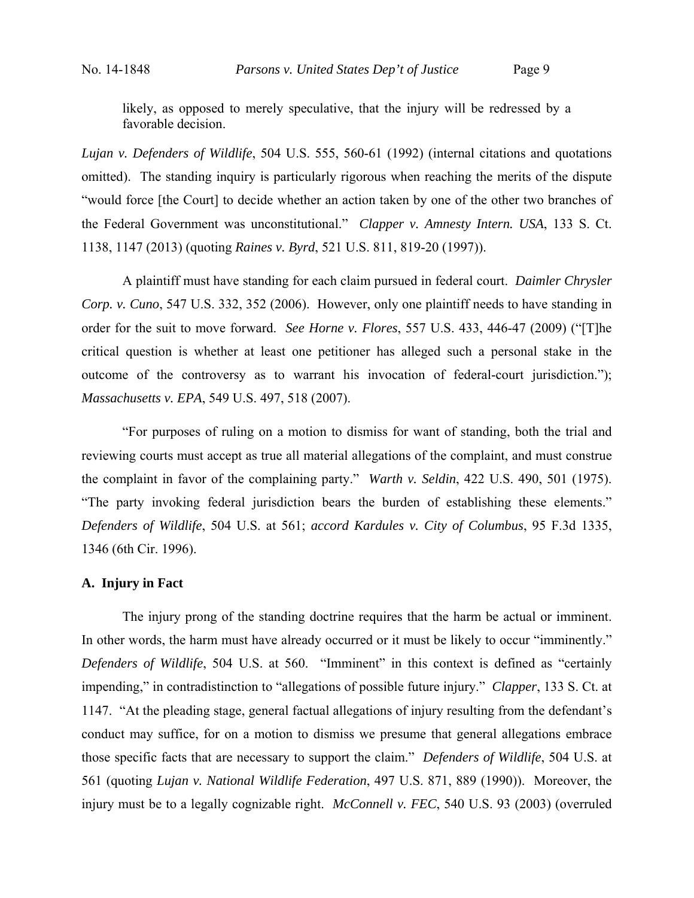likely, as opposed to merely speculative, that the injury will be redressed by a favorable decision.

*Lujan v. Defenders of Wildlife*, 504 U.S. 555, 560-61 (1992) (internal citations and quotations omitted). The standing inquiry is particularly rigorous when reaching the merits of the dispute "would force [the Court] to decide whether an action taken by one of the other two branches of the Federal Government was unconstitutional." *Clapper v. Amnesty Intern. USA*, 133 S. Ct. 1138, 1147 (2013) (quoting *Raines v. Byrd*, 521 U.S. 811, 819-20 (1997)).

A plaintiff must have standing for each claim pursued in federal court. *Daimler Chrysler Corp. v. Cuno*, 547 U.S. 332, 352 (2006). However, only one plaintiff needs to have standing in order for the suit to move forward. *See Horne v. Flores*, 557 U.S. 433, 446-47 (2009) ("[T]he critical question is whether at least one petitioner has alleged such a personal stake in the outcome of the controversy as to warrant his invocation of federal-court jurisdiction."); *Massachusetts v. EPA*, 549 U.S. 497, 518 (2007).

"For purposes of ruling on a motion to dismiss for want of standing, both the trial and reviewing courts must accept as true all material allegations of the complaint, and must construe the complaint in favor of the complaining party." *Warth v. Seldin*, 422 U.S. 490, 501 (1975). "The party invoking federal jurisdiction bears the burden of establishing these elements." *Defenders of Wildlife*, 504 U.S. at 561; *accord Kardules v. City of Columbus*, 95 F.3d 1335, 1346 (6th Cir. 1996).

## **A. Injury in Fact**

The injury prong of the standing doctrine requires that the harm be actual or imminent. In other words, the harm must have already occurred or it must be likely to occur "imminently." *Defenders of Wildlife*, 504 U.S. at 560. "Imminent" in this context is defined as "certainly impending," in contradistinction to "allegations of possible future injury." *Clapper*, 133 S. Ct. at 1147. "At the pleading stage, general factual allegations of injury resulting from the defendant's conduct may suffice, for on a motion to dismiss we presume that general allegations embrace those specific facts that are necessary to support the claim." *Defenders of Wildlife*, 504 U.S. at 561 (quoting *Lujan v. National Wildlife Federation*, 497 U.S. 871, 889 (1990)). Moreover, the injury must be to a legally cognizable right. *McConnell v. FEC*, 540 U.S. 93 (2003) (overruled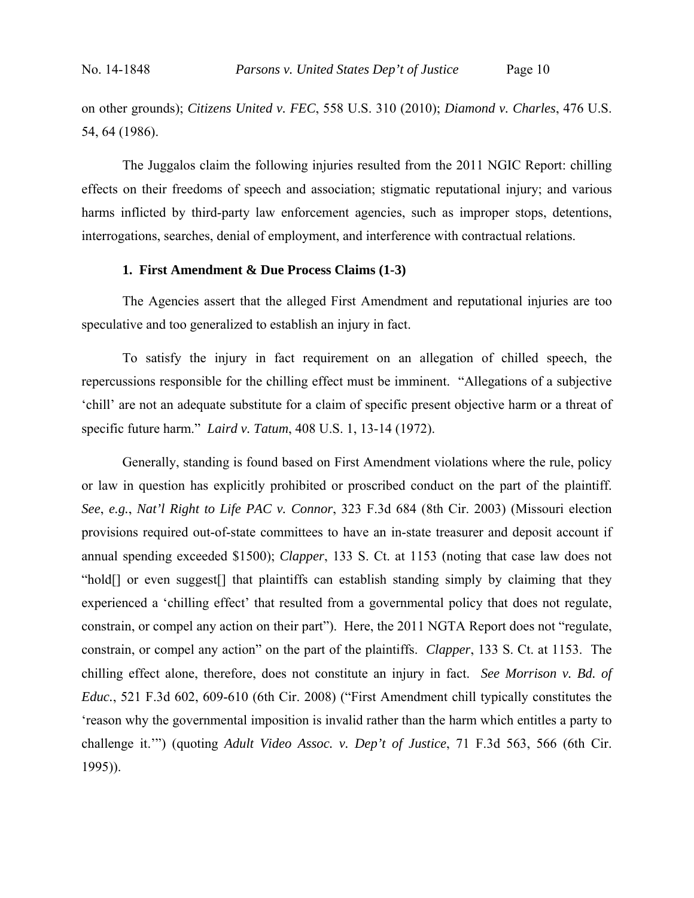on other grounds); *Citizens United v. FEC*, 558 U.S. 310 (2010); *Diamond v. Charles*, 476 U.S. 54, 64 (1986).

The Juggalos claim the following injuries resulted from the 2011 NGIC Report: chilling effects on their freedoms of speech and association; stigmatic reputational injury; and various harms inflicted by third-party law enforcement agencies, such as improper stops, detentions, interrogations, searches, denial of employment, and interference with contractual relations.

## **1. First Amendment & Due Process Claims (1-3)**

The Agencies assert that the alleged First Amendment and reputational injuries are too speculative and too generalized to establish an injury in fact.

To satisfy the injury in fact requirement on an allegation of chilled speech, the repercussions responsible for the chilling effect must be imminent. "Allegations of a subjective 'chill' are not an adequate substitute for a claim of specific present objective harm or a threat of specific future harm." *Laird v. Tatum*, 408 U.S. 1, 13-14 (1972).

Generally, standing is found based on First Amendment violations where the rule, policy or law in question has explicitly prohibited or proscribed conduct on the part of the plaintiff. *See*, *e.g.*, *Nat'l Right to Life PAC v. Connor*, 323 F.3d 684 (8th Cir. 2003) (Missouri election provisions required out-of-state committees to have an in-state treasurer and deposit account if annual spending exceeded \$1500); *Clapper*, 133 S. Ct. at 1153 (noting that case law does not "hold[] or even suggest[] that plaintiffs can establish standing simply by claiming that they experienced a 'chilling effect' that resulted from a governmental policy that does not regulate, constrain, or compel any action on their part"). Here, the 2011 NGTA Report does not "regulate, constrain, or compel any action" on the part of the plaintiffs. *Clapper*, 133 S. Ct. at 1153. The chilling effect alone, therefore, does not constitute an injury in fact. *See Morrison v. Bd. of Educ.*, 521 F.3d 602, 609-610 (6th Cir. 2008) ("First Amendment chill typically constitutes the 'reason why the governmental imposition is invalid rather than the harm which entitles a party to challenge it.'") (quoting *Adult Video Assoc. v. Dep't of Justice*, 71 F.3d 563, 566 (6th Cir. 1995)).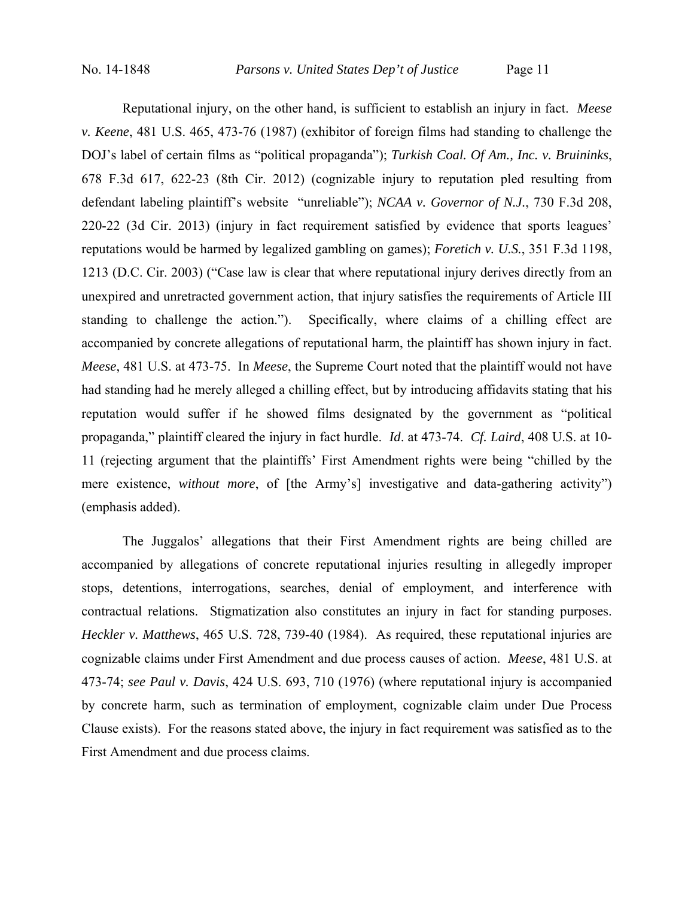Reputational injury, on the other hand, is sufficient to establish an injury in fact. *Meese v. Keene*, 481 U.S. 465, 473-76 (1987) (exhibitor of foreign films had standing to challenge the DOJ's label of certain films as "political propaganda"); *Turkish Coal. Of Am., Inc. v. Bruininks*, 678 F.3d 617, 622-23 (8th Cir. 2012) (cognizable injury to reputation pled resulting from defendant labeling plaintiff's website "unreliable"); *NCAA v. Governor of N.J.*, 730 F.3d 208, 220-22 (3d Cir. 2013) (injury in fact requirement satisfied by evidence that sports leagues' reputations would be harmed by legalized gambling on games); *Foretich v. U.S.*, 351 F.3d 1198, 1213 (D.C. Cir. 2003) ("Case law is clear that where reputational injury derives directly from an unexpired and unretracted government action, that injury satisfies the requirements of Article III standing to challenge the action."). Specifically, where claims of a chilling effect are accompanied by concrete allegations of reputational harm, the plaintiff has shown injury in fact. *Meese*, 481 U.S. at 473-75. In *Meese*, the Supreme Court noted that the plaintiff would not have had standing had he merely alleged a chilling effect, but by introducing affidavits stating that his reputation would suffer if he showed films designated by the government as "political propaganda," plaintiff cleared the injury in fact hurdle. *Id*. at 473-74. *Cf. Laird*, 408 U.S. at 10- 11 (rejecting argument that the plaintiffs' First Amendment rights were being "chilled by the mere existence, *without more*, of [the Army's] investigative and data-gathering activity") (emphasis added).

The Juggalos' allegations that their First Amendment rights are being chilled are accompanied by allegations of concrete reputational injuries resulting in allegedly improper stops, detentions, interrogations, searches, denial of employment, and interference with contractual relations. Stigmatization also constitutes an injury in fact for standing purposes. *Heckler v. Matthews*, 465 U.S. 728, 739-40 (1984). As required, these reputational injuries are cognizable claims under First Amendment and due process causes of action. *Meese*, 481 U.S. at 473-74; *see Paul v. Davis*, 424 U.S. 693, 710 (1976) (where reputational injury is accompanied by concrete harm, such as termination of employment, cognizable claim under Due Process Clause exists). For the reasons stated above, the injury in fact requirement was satisfied as to the First Amendment and due process claims.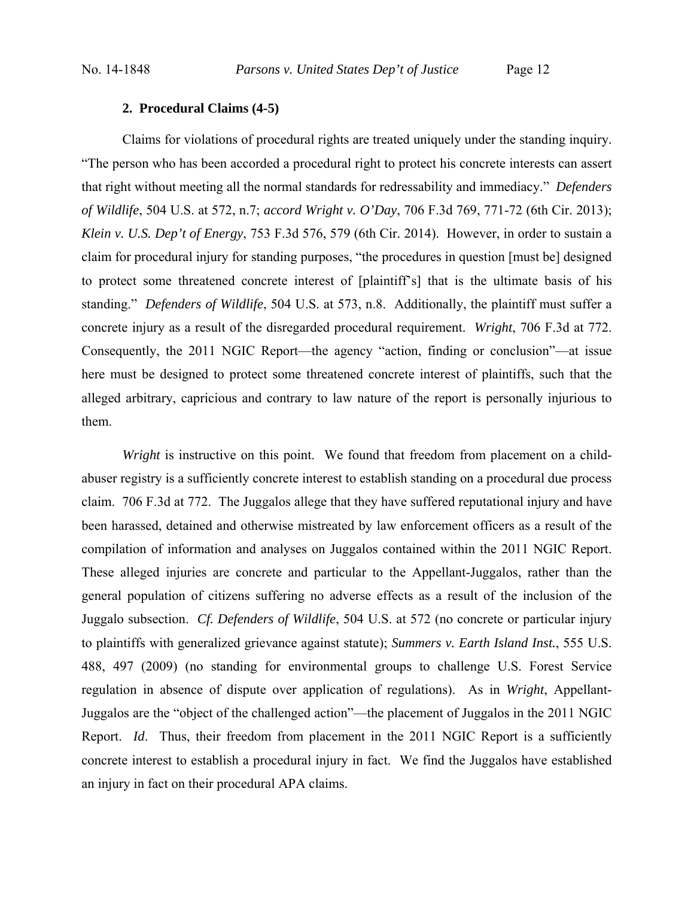## **2. Procedural Claims (4-5)**

Claims for violations of procedural rights are treated uniquely under the standing inquiry. "The person who has been accorded a procedural right to protect his concrete interests can assert that right without meeting all the normal standards for redressability and immediacy." *Defenders of Wildlife*, 504 U.S. at 572, n.7; *accord Wright v. O'Day*, 706 F.3d 769, 771-72 (6th Cir. 2013); *Klein v. U.S. Dep't of Energy*, 753 F.3d 576, 579 (6th Cir. 2014). However, in order to sustain a claim for procedural injury for standing purposes, "the procedures in question [must be] designed to protect some threatened concrete interest of [plaintiff's] that is the ultimate basis of his standing." *Defenders of Wildlife*, 504 U.S. at 573, n.8. Additionally, the plaintiff must suffer a concrete injury as a result of the disregarded procedural requirement. *Wright*, 706 F.3d at 772. Consequently, the 2011 NGIC Report—the agency "action, finding or conclusion"—at issue here must be designed to protect some threatened concrete interest of plaintiffs, such that the alleged arbitrary, capricious and contrary to law nature of the report is personally injurious to them.

*Wright* is instructive on this point. We found that freedom from placement on a childabuser registry is a sufficiently concrete interest to establish standing on a procedural due process claim. 706 F.3d at 772. The Juggalos allege that they have suffered reputational injury and have been harassed, detained and otherwise mistreated by law enforcement officers as a result of the compilation of information and analyses on Juggalos contained within the 2011 NGIC Report. These alleged injuries are concrete and particular to the Appellant-Juggalos, rather than the general population of citizens suffering no adverse effects as a result of the inclusion of the Juggalo subsection. *Cf. Defenders of Wildlife*, 504 U.S. at 572 (no concrete or particular injury to plaintiffs with generalized grievance against statute); *Summers v. Earth Island Inst.*, 555 U.S. 488, 497 (2009) (no standing for environmental groups to challenge U.S. Forest Service regulation in absence of dispute over application of regulations). As in *Wright*, Appellant-Juggalos are the "object of the challenged action"—the placement of Juggalos in the 2011 NGIC Report. *Id.* Thus, their freedom from placement in the 2011 NGIC Report is a sufficiently concrete interest to establish a procedural injury in fact. We find the Juggalos have established an injury in fact on their procedural APA claims.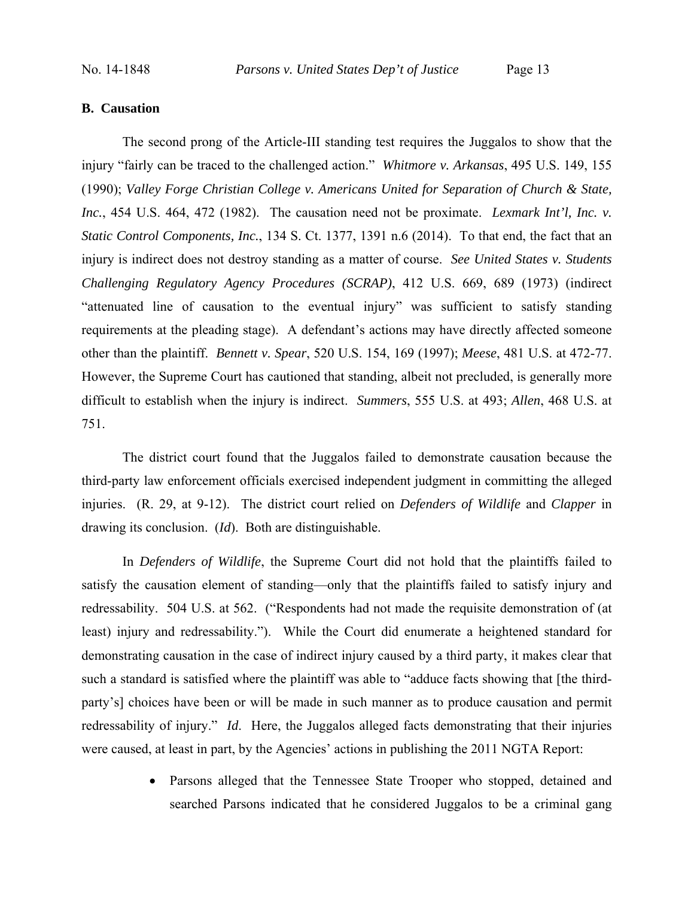## **B. Causation**

The second prong of the Article-III standing test requires the Juggalos to show that the injury "fairly can be traced to the challenged action." *Whitmore v. Arkansas*, 495 U.S. 149, 155 (1990); *Valley Forge Christian College v. Americans United for Separation of Church & State, Inc.*, 454 U.S. 464, 472 (1982). The causation need not be proximate. *Lexmark Int'l, Inc. v. Static Control Components, Inc.*, 134 S. Ct. 1377, 1391 n.6 (2014). To that end, the fact that an injury is indirect does not destroy standing as a matter of course. *See United States v. Students Challenging Regulatory Agency Procedures (SCRAP)*, 412 U.S. 669, 689 (1973) (indirect "attenuated line of causation to the eventual injury" was sufficient to satisfy standing requirements at the pleading stage). A defendant's actions may have directly affected someone other than the plaintiff. *Bennett v. Spear*, 520 U.S. 154, 169 (1997); *Meese*, 481 U.S. at 472-77. However, the Supreme Court has cautioned that standing, albeit not precluded, is generally more difficult to establish when the injury is indirect. *Summers*, 555 U.S. at 493; *Allen*, 468 U.S. at 751.

The district court found that the Juggalos failed to demonstrate causation because the third-party law enforcement officials exercised independent judgment in committing the alleged injuries. (R. 29, at 9-12). The district court relied on *Defenders of Wildlife* and *Clapper* in drawing its conclusion. (*Id*). Both are distinguishable.

In *Defenders of Wildlife*, the Supreme Court did not hold that the plaintiffs failed to satisfy the causation element of standing—only that the plaintiffs failed to satisfy injury and redressability. 504 U.S. at 562. ("Respondents had not made the requisite demonstration of (at least) injury and redressability."). While the Court did enumerate a heightened standard for demonstrating causation in the case of indirect injury caused by a third party, it makes clear that such a standard is satisfied where the plaintiff was able to "adduce facts showing that [the thirdparty's] choices have been or will be made in such manner as to produce causation and permit redressability of injury." *Id*. Here, the Juggalos alleged facts demonstrating that their injuries were caused, at least in part, by the Agencies' actions in publishing the 2011 NGTA Report:

> • Parsons alleged that the Tennessee State Trooper who stopped, detained and searched Parsons indicated that he considered Juggalos to be a criminal gang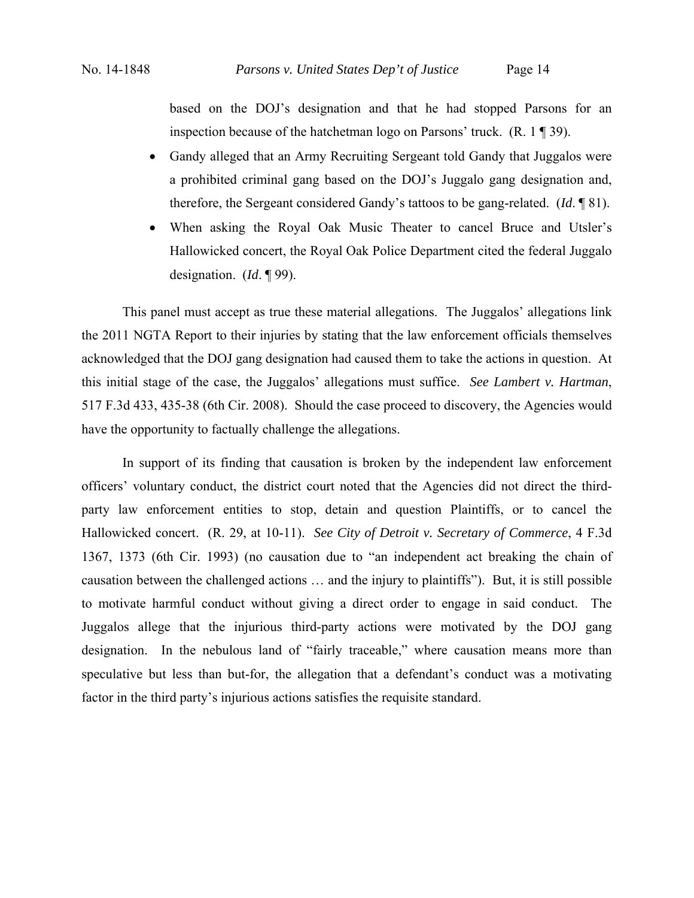based on the DOJ's designation and that he had stopped Parsons for an inspection because of the hatchetman logo on Parsons' truck. (R. 1 ¶ 39).

- Gandy alleged that an Army Recruiting Sergeant told Gandy that Juggalos were a prohibited criminal gang based on the DOJ's Juggalo gang designation and, therefore, the Sergeant considered Gandy's tattoos to be gang-related. (*Id*. ¶ 81).
- When asking the Royal Oak Music Theater to cancel Bruce and Utsler's Hallowicked concert, the Royal Oak Police Department cited the federal Juggalo designation. (*Id*. ¶ 99).

This panel must accept as true these material allegations. The Juggalos' allegations link the 2011 NGTA Report to their injuries by stating that the law enforcement officials themselves acknowledged that the DOJ gang designation had caused them to take the actions in question. At this initial stage of the case, the Juggalos' allegations must suffice. *See Lambert v. Hartman*, 517 F.3d 433, 435-38 (6th Cir. 2008). Should the case proceed to discovery, the Agencies would have the opportunity to factually challenge the allegations.

In support of its finding that causation is broken by the independent law enforcement officers' voluntary conduct, the district court noted that the Agencies did not direct the thirdparty law enforcement entities to stop, detain and question Plaintiffs, or to cancel the Hallowicked concert. (R. 29, at 10-11). *See City of Detroit v. Secretary of Commerce*, 4 F.3d 1367, 1373 (6th Cir. 1993) (no causation due to "an independent act breaking the chain of causation between the challenged actions … and the injury to plaintiffs"). But, it is still possible to motivate harmful conduct without giving a direct order to engage in said conduct. The Juggalos allege that the injurious third-party actions were motivated by the DOJ gang designation. In the nebulous land of "fairly traceable," where causation means more than speculative but less than but-for, the allegation that a defendant's conduct was a motivating factor in the third party's injurious actions satisfies the requisite standard.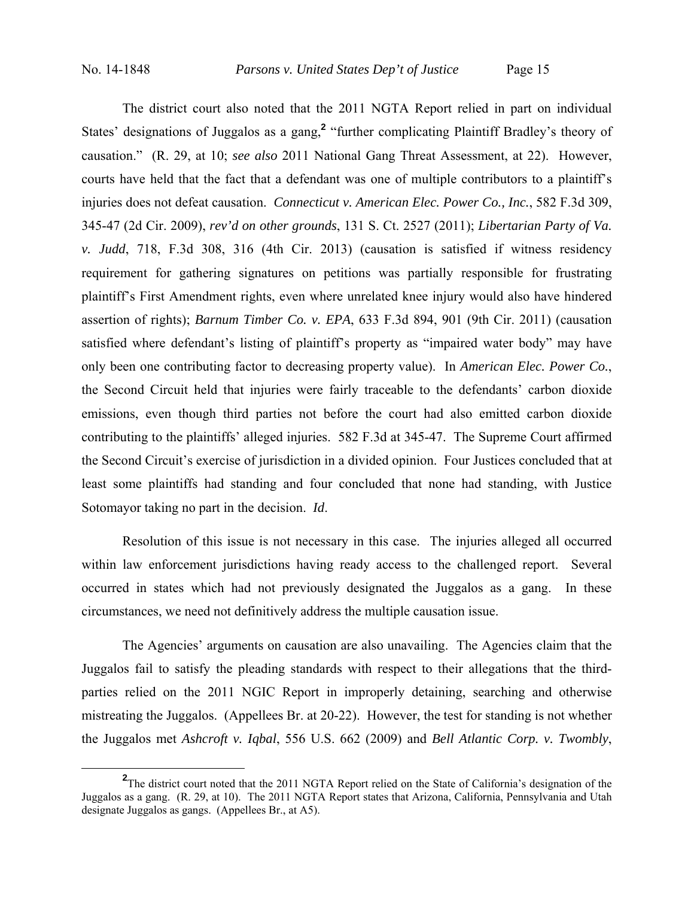The district court also noted that the 2011 NGTA Report relied in part on individual States' designations of Juggalos as a gang,<sup>2</sup> "further complicating Plaintiff Bradley's theory of causation." (R. 29, at 10; *see also* 2011 National Gang Threat Assessment, at 22). However, courts have held that the fact that a defendant was one of multiple contributors to a plaintiff's injuries does not defeat causation. *Connecticut v. American Elec. Power Co., Inc.*, 582 F.3d 309, 345-47 (2d Cir. 2009), *rev'd on other grounds*, 131 S. Ct. 2527 (2011); *Libertarian Party of Va. v. Judd*, 718, F.3d 308, 316 (4th Cir. 2013) (causation is satisfied if witness residency requirement for gathering signatures on petitions was partially responsible for frustrating plaintiff's First Amendment rights, even where unrelated knee injury would also have hindered assertion of rights); *Barnum Timber Co. v. EPA*, 633 F.3d 894, 901 (9th Cir. 2011) (causation satisfied where defendant's listing of plaintiff's property as "impaired water body" may have only been one contributing factor to decreasing property value). In *American Elec. Power Co.*, the Second Circuit held that injuries were fairly traceable to the defendants' carbon dioxide emissions, even though third parties not before the court had also emitted carbon dioxide contributing to the plaintiffs' alleged injuries. 582 F.3d at 345-47. The Supreme Court affirmed the Second Circuit's exercise of jurisdiction in a divided opinion. Four Justices concluded that at least some plaintiffs had standing and four concluded that none had standing, with Justice Sotomayor taking no part in the decision. *Id*.

Resolution of this issue is not necessary in this case. The injuries alleged all occurred within law enforcement jurisdictions having ready access to the challenged report. Several occurred in states which had not previously designated the Juggalos as a gang. In these circumstances, we need not definitively address the multiple causation issue.

The Agencies' arguments on causation are also unavailing. The Agencies claim that the Juggalos fail to satisfy the pleading standards with respect to their allegations that the thirdparties relied on the 2011 NGIC Report in improperly detaining, searching and otherwise mistreating the Juggalos. (Appellees Br. at 20-22). However, the test for standing is not whether the Juggalos met *Ashcroft v. Iqbal*, 556 U.S. 662 (2009) and *Bell Atlantic Corp. v. Twombly*,

**<sup>2</sup>** <sup>2</sup>The district court noted that the 2011 NGTA Report relied on the State of California's designation of the Juggalos as a gang. (R. 29, at 10). The 2011 NGTA Report states that Arizona, California, Pennsylvania and Utah designate Juggalos as gangs. (Appellees Br., at A5).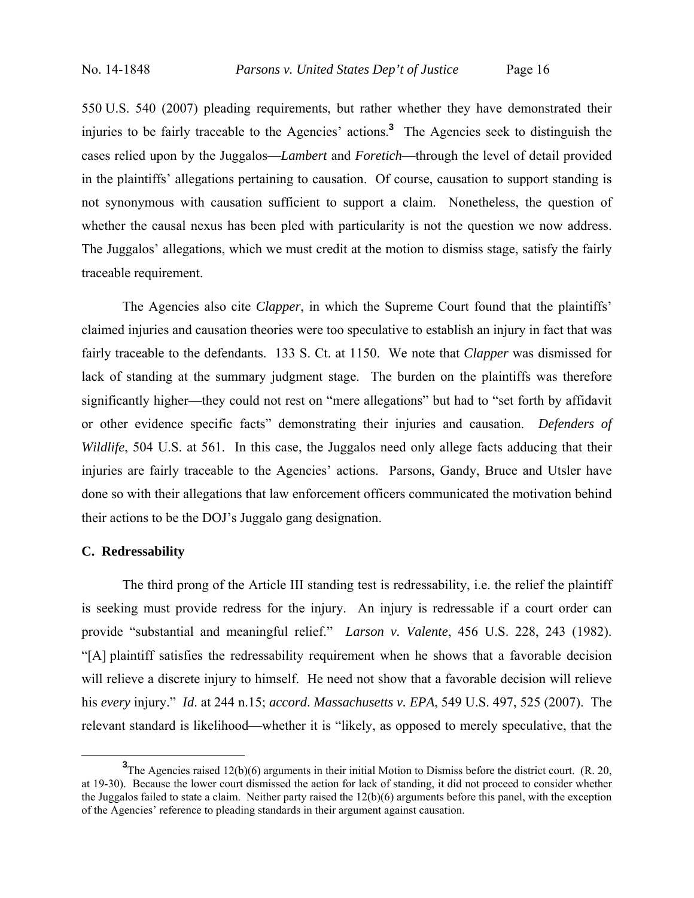550 U.S. 540 (2007) pleading requirements, but rather whether they have demonstrated their injuries to be fairly traceable to the Agencies' actions.**<sup>3</sup>** The Agencies seek to distinguish the cases relied upon by the Juggalos—*Lambert* and *Foretich*—through the level of detail provided in the plaintiffs' allegations pertaining to causation. Of course, causation to support standing is not synonymous with causation sufficient to support a claim. Nonetheless, the question of whether the causal nexus has been pled with particularity is not the question we now address. The Juggalos' allegations, which we must credit at the motion to dismiss stage, satisfy the fairly traceable requirement.

The Agencies also cite *Clapper*, in which the Supreme Court found that the plaintiffs' claimed injuries and causation theories were too speculative to establish an injury in fact that was fairly traceable to the defendants. 133 S. Ct. at 1150. We note that *Clapper* was dismissed for lack of standing at the summary judgment stage. The burden on the plaintiffs was therefore significantly higher—they could not rest on "mere allegations" but had to "set forth by affidavit or other evidence specific facts" demonstrating their injuries and causation. *Defenders of Wildlife*, 504 U.S. at 561. In this case, the Juggalos need only allege facts adducing that their injuries are fairly traceable to the Agencies' actions. Parsons, Gandy, Bruce and Utsler have done so with their allegations that law enforcement officers communicated the motivation behind their actions to be the DOJ's Juggalo gang designation.

### **C. Redressability**

The third prong of the Article III standing test is redressability, i.e. the relief the plaintiff is seeking must provide redress for the injury. An injury is redressable if a court order can provide "substantial and meaningful relief." *Larson v. Valente*, 456 U.S. 228, 243 (1982). "[A] plaintiff satisfies the redressability requirement when he shows that a favorable decision will relieve a discrete injury to himself. He need not show that a favorable decision will relieve his *every* injury." *Id*. at 244 n.15; *accord*. *Massachusetts v. EPA*, 549 U.S. 497, 525 (2007). The relevant standard is likelihood—whether it is "likely, as opposed to merely speculative, that the

**<sup>3</sup>** <sup>3</sup>The Agencies raised 12(b)(6) arguments in their initial Motion to Dismiss before the district court. (R. 20, at 19-30). Because the lower court dismissed the action for lack of standing, it did not proceed to consider whether the Juggalos failed to state a claim. Neither party raised the 12(b)(6) arguments before this panel, with the exception of the Agencies' reference to pleading standards in their argument against causation.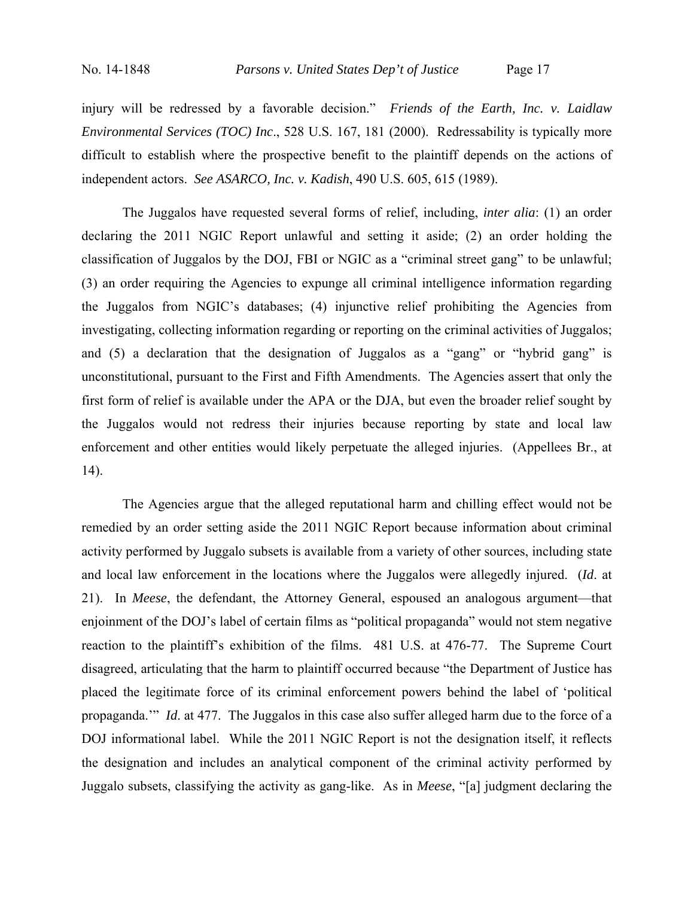injury will be redressed by a favorable decision." *Friends of the Earth, Inc. v. Laidlaw Environmental Services (TOC) Inc*., 528 U.S. 167, 181 (2000). Redressability is typically more difficult to establish where the prospective benefit to the plaintiff depends on the actions of independent actors. *See ASARCO, Inc. v. Kadish*, 490 U.S. 605, 615 (1989).

The Juggalos have requested several forms of relief, including, *inter alia*: (1) an order declaring the 2011 NGIC Report unlawful and setting it aside; (2) an order holding the classification of Juggalos by the DOJ, FBI or NGIC as a "criminal street gang" to be unlawful; (3) an order requiring the Agencies to expunge all criminal intelligence information regarding the Juggalos from NGIC's databases; (4) injunctive relief prohibiting the Agencies from investigating, collecting information regarding or reporting on the criminal activities of Juggalos; and (5) a declaration that the designation of Juggalos as a "gang" or "hybrid gang" is unconstitutional, pursuant to the First and Fifth Amendments. The Agencies assert that only the first form of relief is available under the APA or the DJA, but even the broader relief sought by the Juggalos would not redress their injuries because reporting by state and local law enforcement and other entities would likely perpetuate the alleged injuries. (Appellees Br., at 14).

 The Agencies argue that the alleged reputational harm and chilling effect would not be remedied by an order setting aside the 2011 NGIC Report because information about criminal activity performed by Juggalo subsets is available from a variety of other sources, including state and local law enforcement in the locations where the Juggalos were allegedly injured. (*Id*. at 21). In *Meese*, the defendant, the Attorney General, espoused an analogous argument—that enjoinment of the DOJ's label of certain films as "political propaganda" would not stem negative reaction to the plaintiff's exhibition of the films. 481 U.S. at 476-77. The Supreme Court disagreed, articulating that the harm to plaintiff occurred because "the Department of Justice has placed the legitimate force of its criminal enforcement powers behind the label of 'political propaganda.'" *Id*. at 477. The Juggalos in this case also suffer alleged harm due to the force of a DOJ informational label. While the 2011 NGIC Report is not the designation itself, it reflects the designation and includes an analytical component of the criminal activity performed by Juggalo subsets, classifying the activity as gang-like. As in *Meese*, "[a] judgment declaring the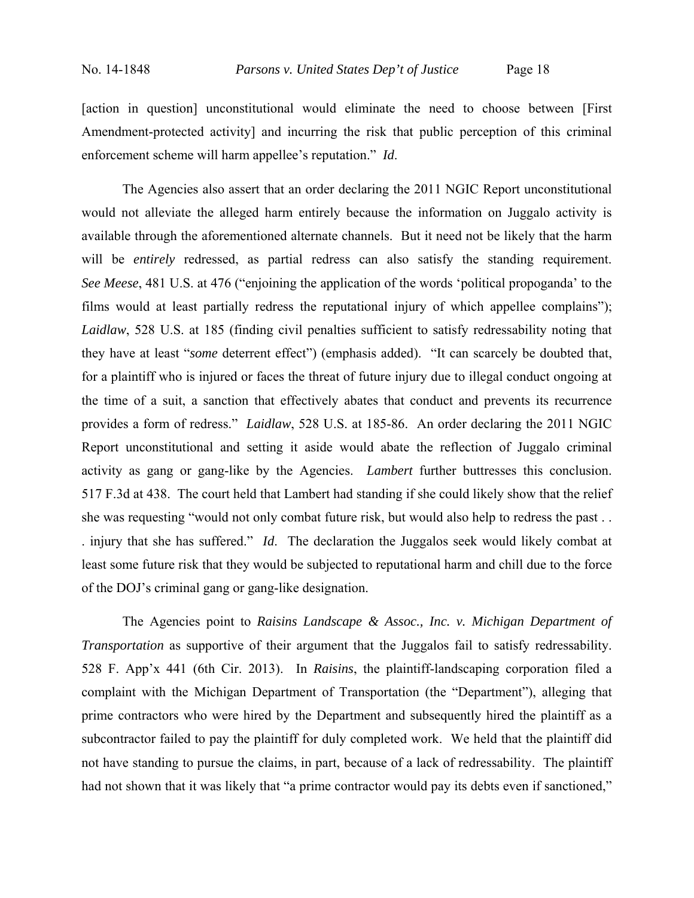[action in question] unconstitutional would eliminate the need to choose between [First Amendment-protected activity] and incurring the risk that public perception of this criminal enforcement scheme will harm appellee's reputation." *Id*.

 The Agencies also assert that an order declaring the 2011 NGIC Report unconstitutional would not alleviate the alleged harm entirely because the information on Juggalo activity is available through the aforementioned alternate channels. But it need not be likely that the harm will be *entirely* redressed, as partial redress can also satisfy the standing requirement. *See Meese*, 481 U.S. at 476 ("enjoining the application of the words 'political propoganda' to the films would at least partially redress the reputational injury of which appellee complains"); *Laidlaw*, 528 U.S. at 185 (finding civil penalties sufficient to satisfy redressability noting that they have at least "*some* deterrent effect") (emphasis added). "It can scarcely be doubted that, for a plaintiff who is injured or faces the threat of future injury due to illegal conduct ongoing at the time of a suit, a sanction that effectively abates that conduct and prevents its recurrence provides a form of redress." *Laidlaw*, 528 U.S. at 185-86. An order declaring the 2011 NGIC Report unconstitutional and setting it aside would abate the reflection of Juggalo criminal activity as gang or gang-like by the Agencies. *Lambert* further buttresses this conclusion. 517 F.3d at 438. The court held that Lambert had standing if she could likely show that the relief she was requesting "would not only combat future risk, but would also help to redress the past . . . injury that she has suffered." *Id*. The declaration the Juggalos seek would likely combat at least some future risk that they would be subjected to reputational harm and chill due to the force of the DOJ's criminal gang or gang-like designation.

 The Agencies point to *Raisins Landscape & Assoc., Inc. v. Michigan Department of Transportation* as supportive of their argument that the Juggalos fail to satisfy redressability. 528 F. App'x 441 (6th Cir. 2013). In *Raisins*, the plaintiff-landscaping corporation filed a complaint with the Michigan Department of Transportation (the "Department"), alleging that prime contractors who were hired by the Department and subsequently hired the plaintiff as a subcontractor failed to pay the plaintiff for duly completed work. We held that the plaintiff did not have standing to pursue the claims, in part, because of a lack of redressability. The plaintiff had not shown that it was likely that "a prime contractor would pay its debts even if sanctioned,"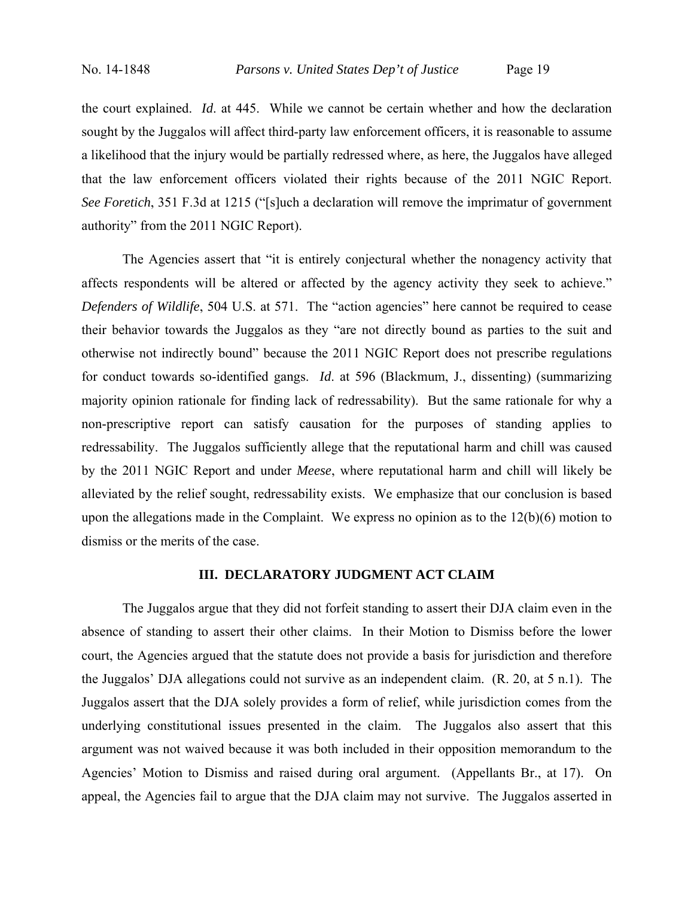the court explained. *Id*. at 445. While we cannot be certain whether and how the declaration sought by the Juggalos will affect third-party law enforcement officers, it is reasonable to assume a likelihood that the injury would be partially redressed where, as here, the Juggalos have alleged that the law enforcement officers violated their rights because of the 2011 NGIC Report. *See Foretich*, 351 F.3d at 1215 ("[s]uch a declaration will remove the imprimatur of government authority" from the 2011 NGIC Report).

 The Agencies assert that "it is entirely conjectural whether the nonagency activity that affects respondents will be altered or affected by the agency activity they seek to achieve." *Defenders of Wildlife*, 504 U.S. at 571. The "action agencies" here cannot be required to cease their behavior towards the Juggalos as they "are not directly bound as parties to the suit and otherwise not indirectly bound" because the 2011 NGIC Report does not prescribe regulations for conduct towards so-identified gangs. *Id*. at 596 (Blackmum, J., dissenting) (summarizing majority opinion rationale for finding lack of redressability). But the same rationale for why a non-prescriptive report can satisfy causation for the purposes of standing applies to redressability. The Juggalos sufficiently allege that the reputational harm and chill was caused by the 2011 NGIC Report and under *Meese*, where reputational harm and chill will likely be alleviated by the relief sought, redressability exists. We emphasize that our conclusion is based upon the allegations made in the Complaint. We express no opinion as to the 12(b)(6) motion to dismiss or the merits of the case.

## **III. DECLARATORY JUDGMENT ACT CLAIM**

 The Juggalos argue that they did not forfeit standing to assert their DJA claim even in the absence of standing to assert their other claims. In their Motion to Dismiss before the lower court, the Agencies argued that the statute does not provide a basis for jurisdiction and therefore the Juggalos' DJA allegations could not survive as an independent claim. (R. 20, at 5 n.1). The Juggalos assert that the DJA solely provides a form of relief, while jurisdiction comes from the underlying constitutional issues presented in the claim. The Juggalos also assert that this argument was not waived because it was both included in their opposition memorandum to the Agencies' Motion to Dismiss and raised during oral argument. (Appellants Br., at 17). On appeal, the Agencies fail to argue that the DJA claim may not survive. The Juggalos asserted in